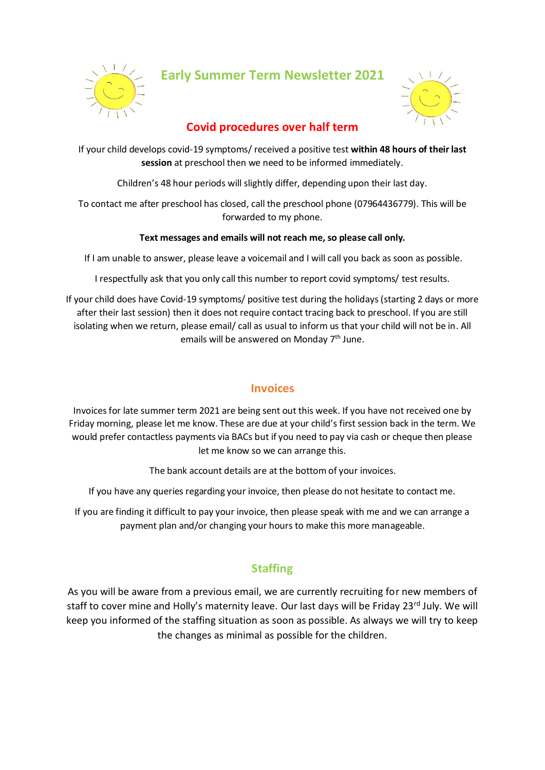

**Early Summer Term Newsletter 2021**



# **Covid procedures over half term**

If your child develops covid-19 symptoms/ received a positive test **within 48 hours of their last session** at preschool then we need to be informed immediately.

Children's 48 hour periods will slightly differ, depending upon their last day.

To contact me after preschool has closed, call the preschool phone (07964436779). This will be forwarded to my phone.

#### **Text messages and emails will not reach me, so please call only.**

If I am unable to answer, please leave a voicemail and I will call you back as soon as possible.

I respectfully ask that you only call this number to report covid symptoms/ test results.

If your child does have Covid-19 symptoms/ positive test during the holidays(starting 2 days or more after their last session) then it does not require contact tracing back to preschool. If you are still isolating when we return, please email/ call as usual to inform us that your child will not be in. All emails will be answered on Monday  $7<sup>th</sup>$  June.

## **Invoices**

Invoices for late summer term 2021 are being sent out this week. If you have not received one by Friday morning, please let me know. These are due at your child's first session back in the term. We would prefer contactless payments via BACs but if you need to pay via cash or cheque then please let me know so we can arrange this.

The bank account details are at the bottom of your invoices.

If you have any queries regarding your invoice, then please do not hesitate to contact me.

If you are finding it difficult to pay your invoice, then please speak with me and we can arrange a payment plan and/or changing your hours to make this more manageable.

# **Staffing**

As you will be aware from a previous email, we are currently recruiting for new members of staff to cover mine and Holly's maternity leave. Our last days will be Friday 23rd July. We will keep you informed of the staffing situation as soon as possible. As always we will try to keep the changes as minimal as possible for the children.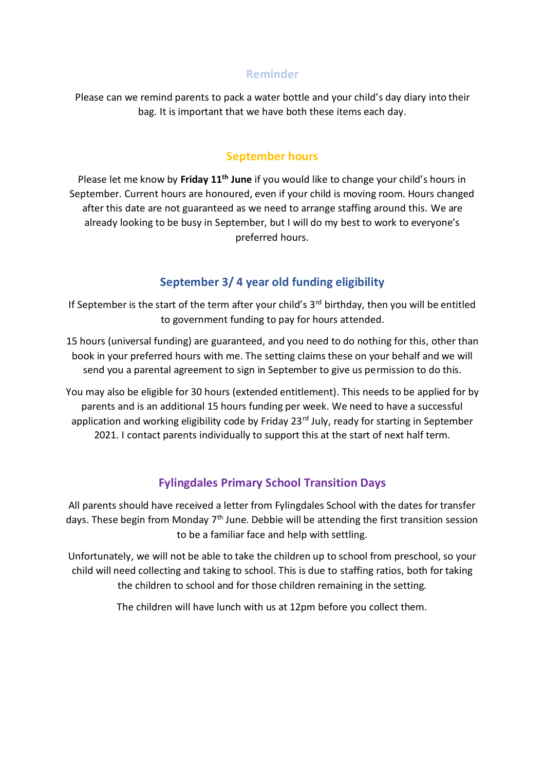#### **Reminder**

Please can we remind parents to pack a water bottle and your child's day diary into their bag. It is important that we have both these items each day.

### **September hours**

Please let me know by **Friday 11th June** if you would like to change your child's hours in September. Current hours are honoured, even if your child is moving room. Hours changed after this date are not guaranteed as we need to arrange staffing around this. We are already looking to be busy in September, but I will do my best to work to everyone's preferred hours.

# **September 3/ 4 year old funding eligibility**

If September is the start of the term after your child's  $3<sup>rd</sup>$  birthday, then you will be entitled to government funding to pay for hours attended.

15 hours (universal funding) are guaranteed, and you need to do nothing for this, other than book in your preferred hours with me. The setting claims these on your behalf and we will send you a parental agreement to sign in September to give us permission to do this.

You may also be eligible for 30 hours (extended entitlement). This needs to be applied for by parents and is an additional 15 hours funding per week. We need to have a successful application and working eligibility code by Friday 23<sup>rd</sup> July, ready for starting in September 2021. I contact parents individually to support this at the start of next half term.

# **Fylingdales Primary School Transition Days**

All parents should have received a letter from Fylingdales School with the dates for transfer days. These begin from Monday  $7<sup>th</sup>$  June. Debbie will be attending the first transition session to be a familiar face and help with settling.

Unfortunately, we will not be able to take the children up to school from preschool, so your child will need collecting and taking to school. This is due to staffing ratios, both for taking the children to school and for those children remaining in the setting.

The children will have lunch with us at 12pm before you collect them.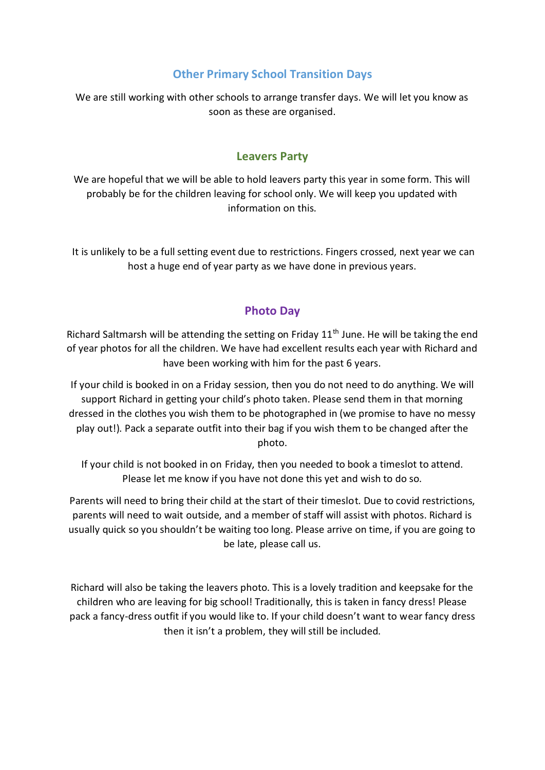# **Other Primary School Transition Days**

We are still working with other schools to arrange transfer days. We will let you know as soon as these are organised.

### **Leavers Party**

We are hopeful that we will be able to hold leavers party this year in some form. This will probably be for the children leaving for school only. We will keep you updated with information on this.

It is unlikely to be a full setting event due to restrictions. Fingers crossed, next year we can host a huge end of year party as we have done in previous years.

### **Photo Day**

Richard Saltmarsh will be attending the setting on Friday  $11<sup>th</sup>$  June. He will be taking the end of year photos for all the children. We have had excellent results each year with Richard and have been working with him for the past 6 years.

If your child is booked in on a Friday session, then you do not need to do anything. We will support Richard in getting your child's photo taken. Please send them in that morning dressed in the clothes you wish them to be photographed in (we promise to have no messy play out!). Pack a separate outfit into their bag if you wish them to be changed after the photo.

If your child is not booked in on Friday, then you needed to book a timeslot to attend. Please let me know if you have not done this yet and wish to do so.

Parents will need to bring their child at the start of their timeslot. Due to covid restrictions, parents will need to wait outside, and a member of staff will assist with photos. Richard is usually quick so you shouldn't be waiting too long. Please arrive on time, if you are going to be late, please call us.

Richard will also be taking the leavers photo. This is a lovely tradition and keepsake for the children who are leaving for big school! Traditionally, this is taken in fancy dress! Please pack a fancy-dress outfit if you would like to. If your child doesn't want to wear fancy dress then it isn't a problem, they will still be included.